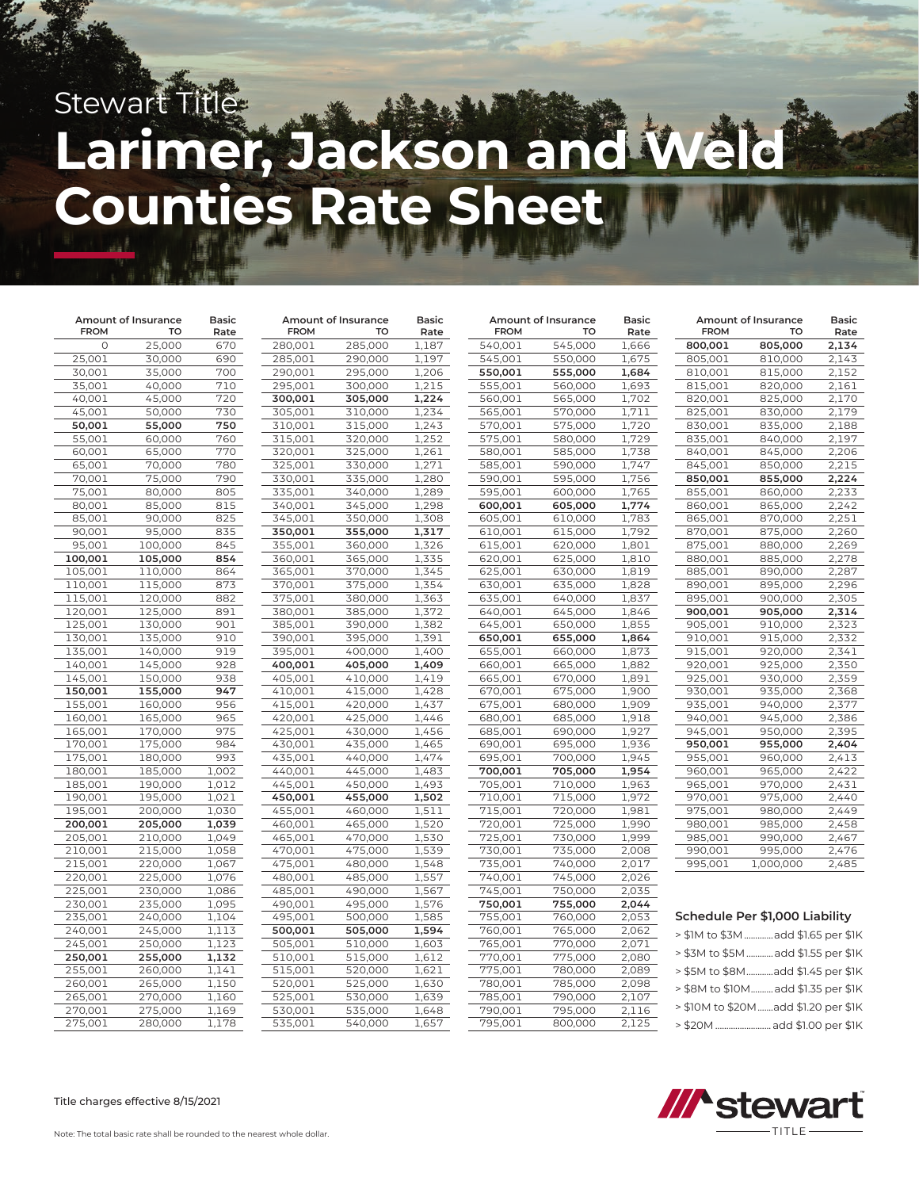# Stewart Title **Larimer, Jackson and Weld Counties Rate Sheet**

| Amount of Insurance |                    | <b>Basic</b> | Amount of Insurance |                    | Basic          | Amount of Insurance |                    | <b>Basic</b>   | Amount of Insurance |                                     | <b>Basic</b>   |
|---------------------|--------------------|--------------|---------------------|--------------------|----------------|---------------------|--------------------|----------------|---------------------|-------------------------------------|----------------|
| <b>FROM</b>         | TO                 | Rate         | <b>FROM</b>         | TO                 | Rate           | <b>FROM</b>         | TO                 | Rate           | <b>FROM</b>         | TO                                  | Rate           |
| $\circ$             | 25,000             | 670          | 280,001             | 285,000            | 1,187          | 540,001             | 545,000            | 1,666          | 800,001             | 805,000                             | 2,134          |
| 25,001              | 30,000             | 690          | 285,001             | 290,000            | 1,197          | 545,001             | 550,000            | 1,675          | 805,001             | 810,000                             | 2,143          |
| 30,001              | 35,000             | 700          | 290,001             | 295,000            | 1,206          | 550,001             | 555,000            | 1,684          | 810,001             | 815,000                             | 2,152          |
| 35,001              | 40,000             | 710          | 295,001             | 300,000            | 1,215          | 555,001             | 560,000            | 1,693          | 815,001             | 820,000                             | 2,161          |
| 40,001              | 45,000             | 720          | 300,001             | 305,000            | 1,224          | 560,001             | 565,000            | 1,702          | 820,001             | 825,000                             | 2,170          |
| 45,001              | 50,000             | 730          | 305,001             | 310,000            | 1,234          | 565,001             | 570,000            | 1,711          | 825,001             | 830,000                             | 2,179          |
| 50,001              | 55,000             | 750          | 310,001             | 315,000            | 1,243          | 570,001             | 575,000            | 1,720          | 830,001             | 835,000                             | 2,188          |
| 55,001              | 60,000             | 760          | 315,001             | 320,000            | 1,252          | 575,001             | 580,000            | 1,729          | 835,001             | 840,000                             | 2,197          |
| 60,001              | 65,000             | 770          | 320,001             | 325,000            | 1,261          | 580,001             | 585,000            | 1,738          | 840,001             | 845,000                             | 2,206          |
| 65,001              | 70,000             | 780          | 325,001             | 330,000            | 1,271          | 585,001             | 590,000            | 1,747          | 845,001             | 850,000                             | 2,215          |
| 70,001              | 75,000             | 790          | 330,001             | 335,000            | 1,280          | 590,001             | 595,000            | 1,756          | 850,001             | 855,000                             | 2,224          |
| 75,001              | 80,000             | 805          | 335,001             | 340,000            | 1,289          | 595,001             | 600,000            | 1,765          | 855,001             | 860,000                             | 2,233          |
| 80,001              | 85,000             | 815          | 340,001             | 345,000            | 1,298          | 600,001             | 605,000            | 1,774          | 860,001             | 865,000                             | 2,242          |
| 85,001              | 90,000             | 825          | 345,001             | 350,000            | 1,308          | 605,001             | 610,000            | 1,783          | 865,001             | 870,000                             | 2,251          |
| 90,001              | 95,000             | 835          | 350,001             | 355,000            | 1,317          | 610,001             | 615,000            | 1,792          | 870,001             | 875,000                             | 2,260          |
| 95,001              | 100,000            | 845          | 355,001             | 360,000            | 1,326          | 615,001             | 620,000            | 1,801          | 875,001             | 880,000                             | 2,269          |
| 100,001             | 105,000            | 854          | 360,001             | 365,000            | 1,335          | 620,001             | 625,000            | 1,810          | 880,001             | 885,000                             | 2,278          |
| 105,001             | 110,000            | 864          | 365,001             | 370,000            | 1,345          | 625,001             | 630,000            | 1,819          | 885,001             | 890,000                             | 2,287          |
| 110,001             | 115,000            | 873          | 370,001             | 375,000            | 1,354          | 630,001             | 635,000            | 1,828          | 890,001             | 895,000                             | 2,296          |
| 115,001             | 120,000            | 882          | 375,001             | 380,000            | 1,363          | 635,001             | 640,000            | 1,837          | 895,001             | 900,000                             | 2,305          |
| 120,001             | 125,000            | 891          | 380,001             | 385,000            | 1,372          | 640,001             | 645,000            | 1,846          | 900,001             | 905,000                             | 2,314          |
| 125,001             | 130,000            | 901          | 385,001             | 390,000            | 1,382          | 645,001             | 650,000            | 1,855          | 905,001             | 910,000                             | 2,323          |
| 130,001             | 135,000            | 910          | 390,001             | 395,000            | 1,391          | 650,001             | 655,000            | 1,864          | 910,001             | 915,000                             | 2,332          |
| 135,001             | 140,000            | 919          | 395,001             | 400,000            | 1,400          | 655,001             | 660,000            | 1,873          | 915,001             | 920,000                             | 2,341          |
| 140,001             | 145,000            | 928          | 400,001             | 405,000            | 1,409          | 660,001             | 665,000            | 1,882          | 920,001             | 925,000                             | 2,350          |
| 145,001             | 150,000            | 938          | 405,001             | 410,000            | 1,419          | 665,001             | 670,000            | 1,891          | 925,001             | 930,000                             | 2,359          |
| 150,001             | 155,000            | 947          | 410,001             | 415,000            | 1,428          | 670,001             | 675,000            | 1,900          | 930,001             | 935,000                             | 2,368          |
| 155,001             | 160,000            | 956          | 415,001             | 420,000            | 1,437          | 675,001             | 680,000            | 1,909          | 935,001             | 940,000                             | 2,377          |
| 160,001             | 165,000            | 965          | 420,001             | 425,000            | 1,446          | 680,001             | 685,000            | 1,918          | 940,001             | 945,000                             | 2,386          |
| 165,001             | 170,000            | 975          | 425,001             | 430,000            | 1,456          | 685,001             | 690,000            | 1,927          | 945,001             | 950,000                             | 2,395          |
| 170,001             | 175,000            | 984          | 430,001             | 435,000            | 1,465          | 690,001             | 695,000            | 1,936          | 950,001             | 955,000                             | 2,404          |
| 175,001<br>180,001  | 180,000<br>185,000 | 993<br>1,002 | 435,001<br>440,001  | 440,000<br>445,000 | 1,474<br>1,483 | 695,001<br>700,001  | 700,000<br>705,000 | 1,945<br>1,954 | 955,001<br>960,001  | 960,000<br>965,000                  | 2,413<br>2,422 |
| 185,001             | 190,000            | 1,012        | 445,001             | 450,000            | 1,493          | 705,001             | 710,000            | 1,963          | 965,001             | 970,000                             |                |
| 190,001             | 195,000            | 1,021        | 450,001             | 455,000            | 1,502          | 710,001             | 715,000            | 1,972          | 970,001             | 975,000                             | 2,431<br>2,440 |
| 195,001             | 200,000            | 1,030        | 455,001             | 460,000            | 1,511          | 715,001             | 720,000            | 1,981          | 975,001             | 980,000                             | 2,449          |
| 200,001             | 205,000            | 1,039        | 460,001             | 465,000            | 1,520          | 720,001             | 725,000            | 1,990          | 980,001             | 985,000                             | 2,458          |
| 205,001             | 210,000            | 1,049        | 465,001             | 470,000            | 1,530          | 725,001             | 730,000            | 1,999          | 985,001             | 990,000                             | 2,467          |
| 210,001             | 215,000            | 1,058        | 470,001             | 475,000            | 1,539          | 730,001             | 735,000            | 2,008          | 990,001             | 995,000                             | 2,476          |
| 215,001             | 220,000            | 1,067        | 475,001             | 480,000            | 1,548          | 735,001             | 740,000            | 2,017          | 995,001             | 1,000,000                           | 2,485          |
| 220,001             | 225,000            | 1,076        | 480,001             | 485,000            | 1,557          | 740,001             | 745,000            | 2,026          |                     |                                     |                |
| 225,001             | 230,000            | 1,086        | 485,001             | 490,000            | 1,567          | 745,001             | 750,000            | 2,035          |                     |                                     |                |
| 230,001             | 235,000            | 1,095        | 490,001             | 495,000            | 1,576          | 750,001             | 755,000            | 2,044          |                     |                                     |                |
| 235,001             | 240,000            | 1,104        | 495,001             | 500,000            | 1,585          | 755,001             | 760,000            | 2,053          |                     | Schedule Per \$1,000 Liability      |                |
| 240,001             | 245,000            | 1,113        | 500,001             | 505,000            | 1,594          | 760,001             | 765,000            | 2,062          |                     | > \$1M to \$3M  add \$1.65 per \$1K |                |
| 245,001             | 250,000            | 1,123        | 505,001             | 510,000            | 1,603          | 765,001             | 770,000            | 2,071          |                     |                                     |                |
| 250,001             | 255,000            | 1,132        | 510,001             | 515,000            | 1,612          | 770,001             | 775,000            | 2,080          |                     | > \$3M to \$5M  add \$1.55 per \$1K |                |
| 255,001             | 260,000            | 1,141        | 515,001             | 520,000            | 1,621          | 775,001             | 780,000            | 2,089          |                     | > \$5M to \$8Madd \$1.45 per \$1K   |                |
| 260,001             | 265,000            | 1,150        | 520,001             | 525,000            | 1,630          | 780,001             | 785,000            | 2,098          |                     | > \$8M to \$10M add \$1.35 per \$1K |                |
| 265,001             | 270,000            | 1,160        | 525,001             | 530,000            | 1,639          | 785,001             | 790,000            | 2,107          |                     |                                     |                |
| 270,001             | 275,000            | 1,169        | 530,001             | 535,000            | 1,648          | 790,001             | 795,000            | 2,116          |                     | > \$10M to \$20Madd \$1.20 per \$1K |                |
| 275,001             | 280,000            | 1,178        | 535,001             | 540,000            | 1,657          | 795,001             | 800,000            | 2,125          |                     | > \$20M  add \$1.00 per \$1K        |                |



Title charges effective 8/15/2021